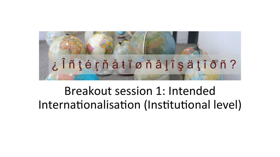

# Breakout session 1: Intended Internationalisation (Institutional level)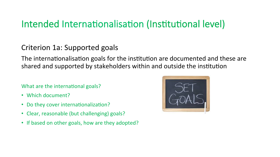#### Criterion 1a: Supported goals

The internationalisation goals for the institution are documented and these are shared and supported by stakeholders within and outside the institution

#### What are the international goals?

- Which document?
- Do they cover internationalization?
- Clear, reasonable (but challenging) goals?
- If based on other goals, how are they adopted?

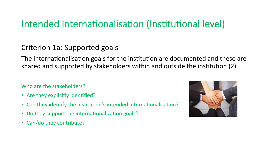Criterion 1a: Supported goals

The internationalisation goals for the institution are documented and these are shared and supported by stakeholders within and outside the institution (2)

Who are the stakeholders?

- Are they explicitly identified?
- Can they identify the institution's intended internationalisation?
- Do they support the internationalization goals?
- Can/do they contribute?

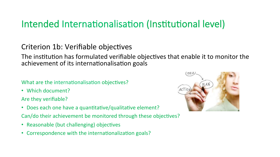#### Criterion 1b: Verifiable objectives

The institution has formulated verifiable objectives that enable it to monitor the achievement of its internationalisation goals

#### What are the internationalisation objectives?

• Which document?

Are they verifiable?

• Does each one have a quantitative/qualitative element?

Can/do their achievement be monitored through these objectives?

- Reasonable (but challenging) objectives
- Correspondence with the internationalization goals?

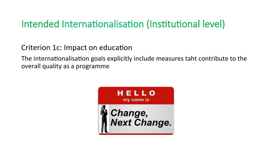Criterion 1c: Impact on education

The internationalisation goals explicitly include measures taht contribute to the overall quality as a programme

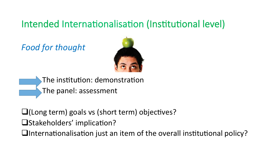**Food for thought** 



- The institution: demonstration The panel: assessment
- $\Box$ (Long term) goals vs (short term) objectives?
- **OStakeholders' implication?**
- Internationalisation just an item of the overall institutional policy?